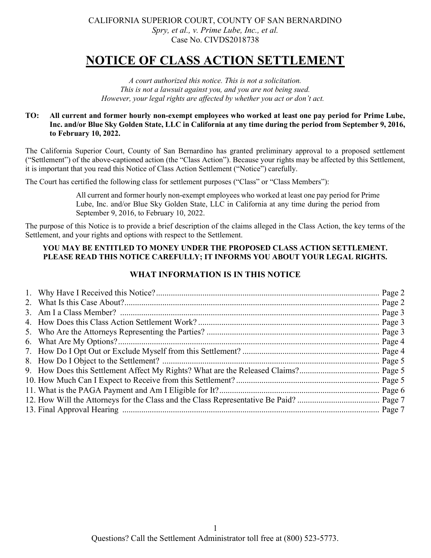# NOTICE OF CLASS ACTION SETTLEMENT

A court authorized this notice. This is not a solicitation. This is not a lawsuit against you, and you are not being sued. However, your legal rights are affected by whether you act or don't act.

#### TO: All current and former hourly non-exempt employees who worked at least one pay period for Prime Lube, Inc. and/or Blue Sky Golden State, LLC in California at any time during the period from September 9, 2016, to February 10, 2022.

The California Superior Court, County of San Bernardino has granted preliminary approval to a proposed settlement ("Settlement") of the above-captioned action (the "Class Action"). Because your rights may be affected by this Settlement, it is important that you read this Notice of Class Action Settlement ("Notice") carefully.

The Court has certified the following class for settlement purposes ("Class" or "Class Members"):

All current and former hourly non-exempt employees who worked at least one pay period for Prime Lube, Inc. and/or Blue Sky Golden State, LLC in California at any time during the period from September 9, 2016, to February 10, 2022.

The purpose of this Notice is to provide a brief description of the claims alleged in the Class Action, the key terms of the Settlement, and your rights and options with respect to the Settlement.

#### YOU MAY BE ENTITLED TO MONEY UNDER THE PROPOSED CLASS ACTION SETTLEMENT. PLEASE READ THIS NOTICE CAREFULLY; IT INFORMS YOU ABOUT YOUR LEGAL RIGHTS.

## WHAT INFORMATION IS IN THIS NOTICE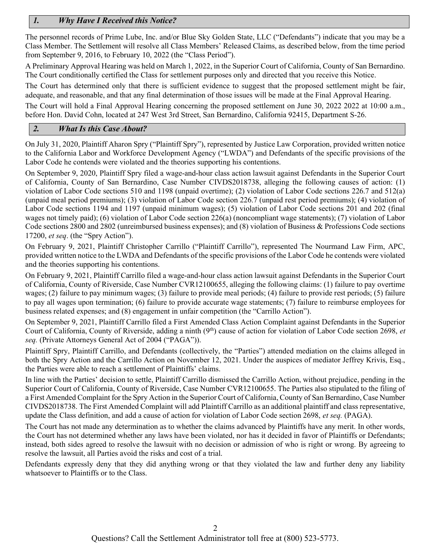# 1. Why Have I Received this Notice?

The personnel records of Prime Lube, Inc. and/or Blue Sky Golden State, LLC ("Defendants") indicate that you may be a Class Member. The Settlement will resolve all Class Members' Released Claims, as described below, from the time period from September 9, 2016, to February 10, 2022 (the "Class Period").

A Preliminary Approval Hearing was held on March 1, 2022, in the Superior Court of California, County of San Bernardino. The Court conditionally certified the Class for settlement purposes only and directed that you receive this Notice.

The Court has determined only that there is sufficient evidence to suggest that the proposed settlement might be fair, adequate, and reasonable, and that any final determination of those issues will be made at the Final Approval Hearing.

The Court will hold a Final Approval Hearing concerning the proposed settlement on June 30, 2022 2022 at 10:00 a.m., before Hon. David Cohn, located at 247 West 3rd Street, San Bernardino, California 92415, Department S-26.

#### 2. What Is this Case About?

On July 31, 2020, Plaintiff Aharon Spry ("Plaintiff Spry"), represented by Justice Law Corporation, provided written notice to the California Labor and Workforce Development Agency ("LWDA") and Defendants of the specific provisions of the Labor Code he contends were violated and the theories supporting his contentions.

On September 9, 2020, Plaintiff Spry filed a wage-and-hour class action lawsuit against Defendants in the Superior Court of California, County of San Bernardino, Case Number CIVDS2018738, alleging the following causes of action: (1) violation of Labor Code sections 510 and 1198 (unpaid overtime); (2) violation of Labor Code sections 226.7 and 512(a) (unpaid meal period premiums); (3) violation of Labor Code section 226.7 (unpaid rest period premiums); (4) violation of Labor Code sections 1194 and 1197 (unpaid minimum wages); (5) violation of Labor Code sections 201 and 202 (final wages not timely paid); (6) violation of Labor Code section 226(a) (noncompliant wage statements); (7) violation of Labor Code sections 2800 and 2802 (unreimbursed business expenses); and (8) violation of Business & Professions Code sections 17200, et seq. (the "Spry Action").

On February 9, 2021, Plaintiff Christopher Carrillo ("Plaintiff Carrillo"), represented The Nourmand Law Firm, APC, provided written notice to the LWDA and Defendants of the specific provisions of the Labor Code he contends were violated and the theories supporting his contentions.

On February 9, 2021, Plaintiff Carrillo filed a wage-and-hour class action lawsuit against Defendants in the Superior Court of California, County of Riverside, Case Number CVR12100655, alleging the following claims: (1) failure to pay overtime wages; (2) failure to pay minimum wages; (3) failure to provide meal periods; (4) failure to provide rest periods; (5) failure to pay all wages upon termination; (6) failure to provide accurate wage statements; (7) failure to reimburse employees for business related expenses; and (8) engagement in unfair competition (the "Carrillo Action").

On September 9, 2021, Plaintiff Carrillo filed a First Amended Class Action Complaint against Defendants in the Superior Court of California, County of Riverside, adding a ninth (9<sup>th</sup>) cause of action for violation of Labor Code section 2698, et seq. (Private Attorneys General Act of 2004 ("PAGA")).

Plaintiff Spry, Plaintiff Carrillo, and Defendants (collectively, the "Parties") attended mediation on the claims alleged in both the Spry Action and the Carrillo Action on November 12, 2021. Under the auspices of mediator Jeffrey Krivis, Esq., the Parties were able to reach a settlement of Plaintiffs' claims.

In line with the Parties' decision to settle, Plaintiff Carrillo dismissed the Carrillo Action, without prejudice, pending in the Superior Court of California, County of Riverside, Case Number CVR12100655. The Parties also stipulated to the filing of a First Amended Complaint for the Spry Action in the Superior Court of California, County of San Bernardino, Case Number CIVDS2018738. The First Amended Complaint will add Plaintiff Carrillo as an additional plaintiff and class representative, update the Class definition, and add a cause of action for violation of Labor Code section 2698, et seq. (PAGA).

The Court has not made any determination as to whether the claims advanced by Plaintiffs have any merit. In other words, the Court has not determined whether any laws have been violated, nor has it decided in favor of Plaintiffs or Defendants; instead, both sides agreed to resolve the lawsuit with no decision or admission of who is right or wrong. By agreeing to resolve the lawsuit, all Parties avoid the risks and cost of a trial.

Defendants expressly deny that they did anything wrong or that they violated the law and further deny any liability whatsoever to Plaintiffs or to the Class.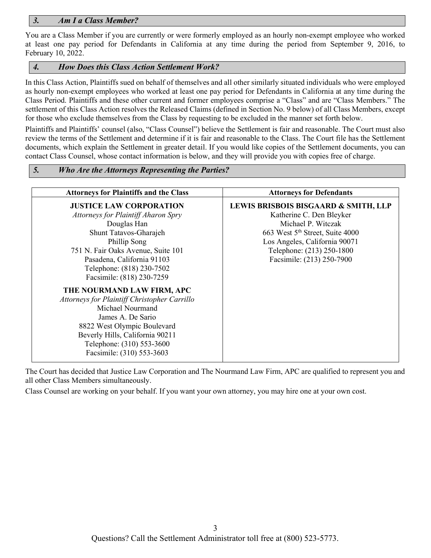#### 3. Am I a Class Member?

You are a Class Member if you are currently or were formerly employed as an hourly non-exempt employee who worked at least one pay period for Defendants in California at any time during the period from September 9, 2016, to February 10, 2022.

#### 4. How Does this Class Action Settlement Work?

In this Class Action, Plaintiffs sued on behalf of themselves and all other similarly situated individuals who were employed as hourly non-exempt employees who worked at least one pay period for Defendants in California at any time during the Class Period. Plaintiffs and these other current and former employees comprise a "Class" and are "Class Members." The settlement of this Class Action resolves the Released Claims (defined in Section No. 9 below) of all Class Members, except for those who exclude themselves from the Class by requesting to be excluded in the manner set forth below.

Plaintiffs and Plaintiffs' counsel (also, "Class Counsel") believe the Settlement is fair and reasonable. The Court must also review the terms of the Settlement and determine if it is fair and reasonable to the Class. The Court file has the Settlement documents, which explain the Settlement in greater detail. If you would like copies of the Settlement documents, you can contact Class Counsel, whose contact information is below, and they will provide you with copies free of charge.

| <b>Attorneys for Plaintiffs and the Class</b> | <b>Attorneys for Defendants</b>                 |
|-----------------------------------------------|-------------------------------------------------|
| <b>JUSTICE LAW CORPORATION</b>                | <b>LEWIS BRISBOIS BISGAARD &amp; SMITH, LLP</b> |
| Attorneys for Plaintiff Aharon Spry           | Katherine C. Den Bleyker                        |
| Douglas Han                                   | Michael P. Witczak                              |
| Shunt Tatavos-Gharajeh                        | 663 West 5 <sup>th</sup> Street, Suite 4000     |
| Phillip Song                                  | Los Angeles, California 90071                   |
| 751 N. Fair Oaks Avenue, Suite 101            | Telephone: (213) 250-1800                       |
| Pasadena, California 91103                    | Facsimile: (213) 250-7900                       |
| Telephone: (818) 230-7502                     |                                                 |
| Facsimile: (818) 230-7259                     |                                                 |
| THE NOURMAND LAW FIRM, APC                    |                                                 |
| Attorneys for Plaintiff Christopher Carrillo  |                                                 |
| Michael Nourmand                              |                                                 |
| James A. De Sario                             |                                                 |
| 8822 West Olympic Boulevard                   |                                                 |
| Beverly Hills, California 90211               |                                                 |
| Telephone: (310) 553-3600                     |                                                 |
| Facsimile: (310) 553-3603                     |                                                 |

The Court has decided that Justice Law Corporation and The Nourmand Law Firm, APC are qualified to represent you and all other Class Members simultaneously.

Class Counsel are working on your behalf. If you want your own attorney, you may hire one at your own cost.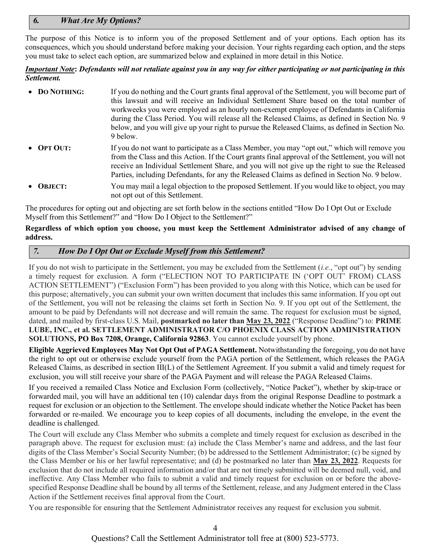## 6. What Are My Options?

The purpose of this Notice is to inform you of the proposed Settlement and of your options. Each option has its consequences, which you should understand before making your decision. Your rights regarding each option, and the steps you must take to select each option, are summarized below and explained in more detail in this Notice.

#### **Important Note: Defendants will not retaliate against you in any way for either participating or not participating in this** Settlement.

| • DO NOTHING: | If you do nothing and the Court grants final approval of the Settlement, you will become part of<br>this lawsuit and will receive an Individual Settlement Share based on the total number of<br>workweeks you were employed as an hourly non-exempt employee of Defendants in California<br>during the Class Period. You will release all the Released Claims, as defined in Section No. 9<br>below, and you will give up your right to pursue the Released Claims, as defined in Section No.<br>9 below. |
|---------------|------------------------------------------------------------------------------------------------------------------------------------------------------------------------------------------------------------------------------------------------------------------------------------------------------------------------------------------------------------------------------------------------------------------------------------------------------------------------------------------------------------|
| • OPT OUT:    | If you do not want to participate as a Class Member, you may "opt out," which will remove you<br>from the Class and this Action. If the Court grants final approval of the Settlement, you will not<br>receive an Individual Settlement Share, and you will not give up the right to sue the Released<br>Parties, including Defendants, for any the Released Claims as defined in Section No. 9 below.                                                                                                     |
| • OBJECT:     | You may mail a legal objection to the proposed Settlement. If you would like to object, you may<br>not opt out of this Settlement.                                                                                                                                                                                                                                                                                                                                                                         |

The procedures for opting out and objecting are set forth below in the sections entitled "How Do I Opt Out or Exclude Myself from this Settlement?" and "How Do I Object to the Settlement?"

#### Regardless of which option you choose, you must keep the Settlement Administrator advised of any change of address.

#### 7. How Do I Opt Out or Exclude Myself from this Settlement?

If you do not wish to participate in the Settlement, you may be excluded from the Settlement (i.e., "opt out") by sending a timely request for exclusion. A form ("ELECTION NOT TO PARTICIPATE IN ('OPT OUT' FROM) CLASS ACTION SETTLEMENT") ("Exclusion Form") has been provided to you along with this Notice, which can be used for this purpose; alternatively, you can submit your own written document that includes this same information. If you opt out of the Settlement, you will not be releasing the claims set forth in Section No. 9. If you opt out of the Settlement, the amount to be paid by Defendants will not decrease and will remain the same. The request for exclusion must be signed, dated, and mailed by first-class U.S. Mail, postmarked no later than May 23, 2022 ("Response Deadline") to: PRIME LUBE, INC., et al. SETTLEMENT ADMINISTRATOR C/O PHOENIX CLASS ACTION ADMINISTRATION SOLUTIONS, PO Box 7208, Orange, California 92863. You cannot exclude yourself by phone.

Eligible Aggrieved Employees May Not Opt Out of PAGA Settlement. Notwithstanding the foregoing, you do not have the right to opt out or otherwise exclude yourself from the PAGA portion of the Settlement, which releases the PAGA Released Claims, as described in section III(L) of the Settlement Agreement. If you submit a valid and timely request for exclusion, you will still receive your share of the PAGA Payment and will release the PAGA Released Claims.

If you received a remailed Class Notice and Exclusion Form (collectively, "Notice Packet"), whether by skip-trace or forwarded mail, you will have an additional ten (10) calendar days from the original Response Deadline to postmark a request for exclusion or an objection to the Settlement. The envelope should indicate whether the Notice Packet has been forwarded or re-mailed. We encourage you to keep copies of all documents, including the envelope, in the event the deadline is challenged.

The Court will exclude any Class Member who submits a complete and timely request for exclusion as described in the paragraph above. The request for exclusion must: (a) include the Class Member's name and address, and the last four digits of the Class Member's Social Security Number; (b) be addressed to the Settlement Administrator; (c) be signed by the Class Member or his or her lawful representative; and (d) be postmarked no later than May 23, 2022. Requests for exclusion that do not include all required information and/or that are not timely submitted will be deemed null, void, and ineffective. Any Class Member who fails to submit a valid and timely request for exclusion on or before the abovespecified Response Deadline shall be bound by all terms of the Settlement, release, and any Judgment entered in the Class Action if the Settlement receives final approval from the Court.

You are responsible for ensuring that the Settlement Administrator receives any request for exclusion you submit.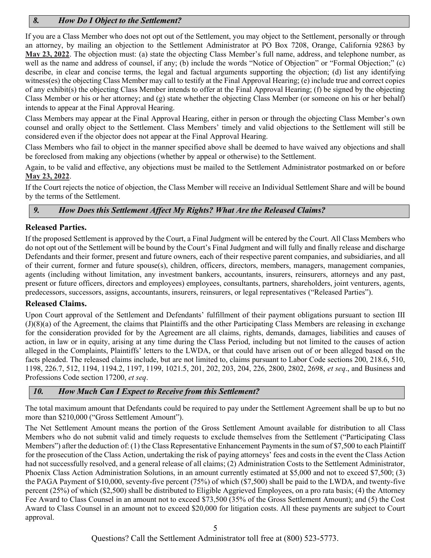# 8. How Do I Object to the Settlement?

If you are a Class Member who does not opt out of the Settlement, you may object to the Settlement, personally or through an attorney, by mailing an objection to the Settlement Administrator at PO Box 7208, Orange, California 92863 by May 23, 2022. The objection must: (a) state the objecting Class Member's full name, address, and telephone number, as well as the name and address of counsel, if any; (b) include the words "Notice of Objection" or "Formal Objection;" (c) describe, in clear and concise terms, the legal and factual arguments supporting the objection; (d) list any identifying witness(es) the objecting Class Member may call to testify at the Final Approval Hearing; (e) include true and correct copies of any exhibit(s) the objecting Class Member intends to offer at the Final Approval Hearing; (f) be signed by the objecting Class Member or his or her attorney; and (g) state whether the objecting Class Member (or someone on his or her behalf) intends to appear at the Final Approval Hearing.

Class Members may appear at the Final Approval Hearing, either in person or through the objecting Class Member's own counsel and orally object to the Settlement. Class Members' timely and valid objections to the Settlement will still be considered even if the objector does not appear at the Final Approval Hearing.

Class Members who fail to object in the manner specified above shall be deemed to have waived any objections and shall be foreclosed from making any objections (whether by appeal or otherwise) to the Settlement.

Again, to be valid and effective, any objections must be mailed to the Settlement Administrator postmarked on or before May 23, 2022.

If the Court rejects the notice of objection, the Class Member will receive an Individual Settlement Share and will be bound by the terms of the Settlement.

# 9. How Does this Settlement Affect My Rights? What Are the Released Claims?

## Released Parties.

If the proposed Settlement is approved by the Court, a Final Judgment will be entered by the Court. All Class Members who do not opt out of the Settlement will be bound by the Court's Final Judgment and will fully and finally release and discharge Defendants and their former, present and future owners, each of their respective parent companies, and subsidiaries, and all of their current, former and future spouse(s), children, officers, directors, members, managers, management companies, agents (including without limitation, any investment bankers, accountants, insurers, reinsurers, attorneys and any past, present or future officers, directors and employees) employees, consultants, partners, shareholders, joint venturers, agents, predecessors, successors, assigns, accountants, insurers, reinsurers, or legal representatives ("Released Parties").

#### Released Claims.

Upon Court approval of the Settlement and Defendants' fulfillment of their payment obligations pursuant to section III (J)(8)(a) of the Agreement, the claims that Plaintiffs and the other Participating Class Members are releasing in exchange for the consideration provided for by the Agreement are all claims, rights, demands, damages, liabilities and causes of action, in law or in equity, arising at any time during the Class Period, including but not limited to the causes of action alleged in the Complaints, Plaintiffs' letters to the LWDA, or that could have arisen out of or been alleged based on the facts pleaded. The released claims include, but are not limited to, claims pursuant to Labor Code sections 200, 218.6, 510, 1198, 226.7, 512, 1194, 1194.2, 1197, 1199, 1021.5, 201, 202, 203, 204, 226, 2800, 2802, 2698, et seq., and Business and Professions Code section 17200, et seq.

# 10. How Much Can I Expect to Receive from this Settlement?

The total maximum amount that Defendants could be required to pay under the Settlement Agreement shall be up to but no more than \$210,000 ("Gross Settlement Amount").

The Net Settlement Amount means the portion of the Gross Settlement Amount available for distribution to all Class Members who do not submit valid and timely requests to exclude themselves from the Settlement ("Participating Class Members") after the deduction of: (1) the Class Representative Enhancement Payments in the sum of \$7,500 to each Plaintiff for the prosecution of the Class Action, undertaking the risk of paying attorneys' fees and costs in the event the Class Action had not successfully resolved, and a general release of all claims; (2) Administration Costs to the Settlement Administrator, Phoenix Class Action Administration Solutions, in an amount currently estimated at \$5,000 and not to exceed \$7,500; (3) the PAGA Payment of \$10,000, seventy-five percent (75%) of which (\$7,500) shall be paid to the LWDA, and twenty-five percent (25%) of which (\$2,500) shall be distributed to Eligible Aggrieved Employees, on a pro rata basis; (4) the Attorney Fee Award to Class Counsel in an amount not to exceed \$73,500 (35% of the Gross Settlement Amount); and (5) the Cost Award to Class Counsel in an amount not to exceed \$20,000 for litigation costs. All these payments are subject to Court approval.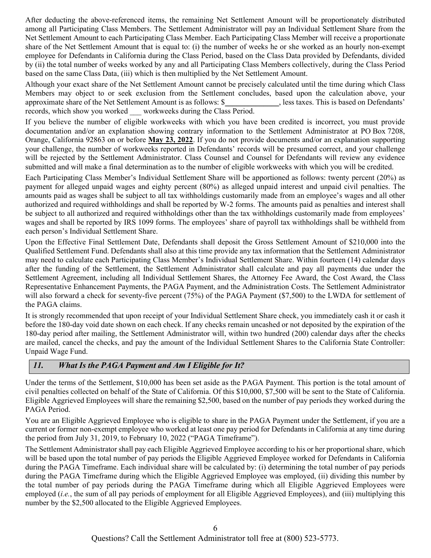After deducting the above-referenced items, the remaining Net Settlement Amount will be proportionately distributed among all Participating Class Members. The Settlement Administrator will pay an Individual Settlement Share from the Net Settlement Amount to each Participating Class Member. Each Participating Class Member will receive a proportionate share of the Net Settlement Amount that is equal to: (i) the number of weeks he or she worked as an hourly non-exempt employee for Defendants in California during the Class Period, based on the Class Data provided by Defendants, divided by (ii) the total number of weeks worked by any and all Participating Class Members collectively, during the Class Period based on the same Class Data, (iii) which is then multiplied by the Net Settlement Amount.

Although your exact share of the Net Settlement Amount cannot be precisely calculated until the time during which Class Members may object to or seek exclusion from the Settlement concludes, based upon the calculation above, your approximate share of the Net Settlement Amount is as follows: \$ \ was knowned as is based on Defendants' records, which show you worked workweeks during the Class Period.

If you believe the number of eligible workweeks with which you have been credited is incorrect, you must provide documentation and/or an explanation showing contrary information to the Settlement Administrator at PO Box 7208, Orange, California 92863 on or before May 23, 2022. If you do not provide documents and/or an explanation supporting your challenge, the number of workweeks reported in Defendants' records will be presumed correct, and your challenge will be rejected by the Settlement Administrator. Class Counsel and Counsel for Defendants will review any evidence submitted and will make a final determination as to the number of eligible workweeks with which you will be credited.

Each Participating Class Member's Individual Settlement Share will be apportioned as follows: twenty percent (20%) as payment for alleged unpaid wages and eighty percent (80%) as alleged unpaid interest and unpaid civil penalties. The amounts paid as wages shall be subject to all tax withholdings customarily made from an employee's wages and all other authorized and required withholdings and shall be reported by W-2 forms. The amounts paid as penalties and interest shall be subject to all authorized and required withholdings other than the tax withholdings customarily made from employees' wages and shall be reported by IRS 1099 forms. The employees' share of payroll tax withholdings shall be withheld from each person's Individual Settlement Share.

Upon the Effective Final Settlement Date, Defendants shall deposit the Gross Settlement Amount of \$210,000 into the Qualified Settlement Fund. Defendants shall also at this time provide any tax information that the Settlement Administrator may need to calculate each Participating Class Member's Individual Settlement Share. Within fourteen (14) calendar days after the funding of the Settlement, the Settlement Administrator shall calculate and pay all payments due under the Settlement Agreement, including all Individual Settlement Shares, the Attorney Fee Award, the Cost Award, the Class Representative Enhancement Payments, the PAGA Payment, and the Administration Costs. The Settlement Administrator will also forward a check for seventy-five percent (75%) of the PAGA Payment (\$7,500) to the LWDA for settlement of the PAGA claims.

It is strongly recommended that upon receipt of your Individual Settlement Share check, you immediately cash it or cash it before the 180-day void date shown on each check. If any checks remain uncashed or not deposited by the expiration of the 180-day period after mailing, the Settlement Administrator will, within two hundred (200) calendar days after the checks are mailed, cancel the checks, and pay the amount of the Individual Settlement Shares to the California State Controller: Unpaid Wage Fund.

## 11. What Is the PAGA Payment and Am I Eligible for It?

Under the terms of the Settlement, \$10,000 has been set aside as the PAGA Payment. This portion is the total amount of civil penalties collected on behalf of the State of California. Of this \$10,000, \$7,500 will be sent to the State of California. Eligible Aggrieved Employees will share the remaining \$2,500, based on the number of pay periods they worked during the PAGA Period.

You are an Eligible Aggrieved Employee who is eligible to share in the PAGA Payment under the Settlement, if you are a current or former non-exempt employee who worked at least one pay period for Defendants in California at any time during the period from July 31, 2019, to February 10, 2022 ("PAGA Timeframe").

The Settlement Administrator shall pay each Eligible Aggrieved Employee according to his or her proportional share, which will be based upon the total number of pay periods the Eligible Aggrieved Employee worked for Defendants in California during the PAGA Timeframe. Each individual share will be calculated by: (i) determining the total number of pay periods during the PAGA Timeframe during which the Eligible Aggrieved Employee was employed, (ii) dividing this number by the total number of pay periods during the PAGA Timeframe during which all Eligible Aggrieved Employees were employed (*i.e.*, the sum of all pay periods of employment for all Eligible Aggrieved Employees), and (iii) multiplying this number by the \$2,500 allocated to the Eligible Aggrieved Employees.